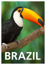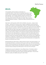# **Brazil**

In the meantime, German industry can look back on a considerable tradition in Brazil which has developed organically. In Latin America, German companies and their products have an exceptionally good reputation. The first large companies arrived from Germany at the end of the 19th century and beginning of the 20th century, first of all with trading offices and later with production facilities. Many companies – especially Mittelstand companies – followed and today all industrial sectors are represented.

When Brazil in 2010 reported a GDP of USD 2,143 billion, the country – at least in terms of figures – had become an economic power. Despite considerably corrected estimations and forecasts for growth in the following years, Brazil has in total performed well. Recently, however, the country has been characterised by a rather weak economy and is also undergoing political upheaval. In particular, in 2013 the currently growing middle class for the first time expressed clearly their deep-rooted anger and disappointment in public regarding the political reality. These strong feelings seemed to be directed at almost everything including extensive corruption which at least in relation to the authorities and large companies influenced by the state continues to be a daily experience, a complex tax system with a high burden and not much service in return from the state which primarily but not only affects the health system, education (schools and universities) and public transport which continues to be a challenge for employees on a daily basis in combination with a patronising and patriarchal leadership style of the currently dominant PT worker's political party which obviously does not recognise that Brazilians are politically mature citizens.

Notwithstanding this, Brazil remains a stable investment location with positive prospects. Just the expected investments in connection with the soccer world cup in 2014 and the Olympic Games in 2016 are estimated to be three figure billion amounts. But the most important driver of growth by far in Brazil continues to be domestic consumption which is growing steadily. Economists forecast average annual GDP growth of 3.6% over the next 50 years.

Entrepreneurial success here depends on many different factors. The Brazilian market is complicated, demanding and in many ways is very different to Germany. Adjustments are necessary and investors partly have to dismiss cherished expectations. Yet with all the differences, quality and reliability also pays for itself in Brazil.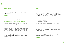## **Cultural differences**

One of the most significant challenges for a German entrepreneur in Brazil is the Brazilian mentality which is even more different to the German mentality than expected. In addition, the reality of life in Brazil is totally different to the stereotypes which "we" usually have in our heads when we think of Brazil. São Paulo is the economic heart of the country. No beach in sight. No samba in the air.

#### **Language**

**BRAZIL** 

Without Portuguese it is even difficult in São Paulo. English (not to mention German) is usually not enough. Claimed knowledge and actual knowledge of language in fact partly diverges to a great extent. In the southern part of the country there are a number of German "enclaves". But the greater majority of German companies are based around São Paulo.

#### **Management and relationship of the boss to employees**

The hierarchical element is very marked. Brazilian employees expect comprehensive and detailed guidelines. Independent original thinking is not really encouraged. The "ideal" boss is a kind, wise patriarch who never loses his cool.

#### **Financial accounting**

Taxes must in principle be declared every month. The means in practice a closing date for the financial accounting on the day 25 of each month (for example, to enable "dynamic" reporting deadlines) is not possible. In addition to standard tax returns which must all be submitted by the internet, the financial authorities receive a comprehensive monthly overview of all bookings included in the general ledger. In addition, numerous auxiliary calculations and explanations must be submitted with the aim of enabling an automated plausibility inspection.

Personnel expenses are often booked locally as a distribution or appropriation of net income as the local law basically allows this. This practice must be taken into consideration when assessing the economic situation.

The annual financial statement must be prepared by April 30 of the following year.

### **Tax law**

Brazilian tax law is surprisingly complex and has more than 80 different taxes and contributions which are the responsibility of different tax authorities. In total in relation to the gross domestic product the tax and contribution ratio are roughly comparable to that of Germany.

Remarkable special points in particular exist in the area of commercial taxes. A seemingly simple question such as "How high is the sales tax rate in Brazil?" with regard to an import of goods into Brazil requires the answers to at least the following information:

- Customs tariff number for the imported goods
- Value of the goods (CIF)
- Import port
- › Headquarters of the importing company
- Headquarters of the end customer
- Use of the goods at the end customer

Then it is possible to calculate the commercial taxes incurred by the import. These are in total six taxes on transactions each with a different basis for assessment and parties entitled to collect the respective tax: II (customs), IPI (industrial product tax), PIS and COFINS (social contributions), ICMS (sales tax) and IOF (financial transaction tax). II and IOF are always costs. With PIS and COFINS it depends on among other things according to which method the importing companies determine their corporation tax.

ICMS is a state tax with the result that there are 27 turnover tax laws each with a number of rates and different exemptions.

## **Transfer of foreign exchange**

This is fully transparent. All movements of foreign exchange between Brazil and abroad are subject to control through the Brazilian central bank. If the money is correctly declared in the import process, an export at a later point in time is not a problem.

## **Financing**

The current interest rates for company financing are between 3% to 5% per month if they are at all available for companies. The bureaucratic hurdles are partly considerable.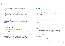#### **Share capital**

In contrast to the German GmbH with the founding of a Brazilian Limitada there is no obligation to bring in a minimum share capital. The only exception to this is for companies who have import or export as their company purpose. In this case "sufficient" capital must be available. A fixed rule as what this might mean has not existed up to now. Foreign capital must be registered as an investment at the Brazilian central bank. This ensures that imported capital can later be re-exported.

#### **Shareholders**

A Limitada must be founded by at least two shareholders who can be domestic or foreign legal entities or natural persons. A foreign shareholder, however, has to have a legal representative (Procurador) who must be resident in Brazil and must represent the foreign shareholder with regard to the Brazilian tax authorities and assumes corresponding liability.

#### **Company purpose**

Difficulties with the founding of the company are frequently concerned with the definition of the company purpose in the contract. The company must be able to prove it has business premises where the company can pursue and actually realise exactly this company purpose (e.g. also storage capacity). This is inspected in practice.

#### **Formalities**

As Brazil has not yet ratified the corresponding international agreements, legal transactions – for example the submission of important documents necessary for founding a company (power of representation, commercial register extracts, company contracts, etc.) to the authorities – still require a supplementary attestation for notarial authentication and legalisation through Brazilian representation in Germany (embassy, consulate). Before submission in Brazil the documents must first of all be translated into Portuguese by a certified translator.

#### **Managing director**

The company can have one or more managing directors, whereby their appointment is made in the articles of association or by resolutions. If the managing director is not a shareholder, his appointment requires the approval of two thirds of the shareholders and if not all of the share capital is paid in then even unanimous approval is required. Managing directors can only be appointed if they are Brazilian or have an unlimited residence permit and have a Brazilian tax

As a result the German companies finance themselves here either through equity or via shareholder loans. Concerning the tax deductibility of the interest on the shareholder loans the following limits must be complied with:

- The relationship between equity and the shareholder loan must not exceed 1:2.
- The maximum permissible interest rate is currently 3.5 % plus LIBOR (here: six month LIBOR in USD – independent of the life of the loan and the currency of the loan)
- $\rightarrow$  If the limits are exceeded, the interest rates can only be deducted within the described limits.

#### **Labour law**

Due to its extremely one-sided orientation on the employee side the Brazilian labour law constitutes an enormous burden for companies. Originally conceived to protect illiterate farmhands from their brutal masters, it is today with a shocking matter of course attitude even directed at managing directors and therefore naturally leads to results which are difficult to comprehend.

This is all not made easier by the fact that the jurisdiction is not willing to adequately take into account the current legislative difficulties. In fact the reverse is true.

Although this investment obstacle is today the subject of political discussion, it is nevertheless not foreseeable that this will result in corresponding measures.

#### **Founding a company/principles of company law**

The forms of company which exist here are basically comparable with the forms of company known in Germany. However, as the taxation is based on the legal form, more complex structures are not required. In entrepreneurial practice the company with limited liability (Sociedade Limitada, abbreviated to Limitada) is almost exclusively used. This form is relatively easy to manage.

Foreign nationals can found a company in Brazil without restrictions or hold an interest in Brazilian companies provided their activity is not involved in an area which the state protects against foreigners such as the press, broadcasting, television and air traffic.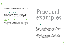number for natural persons (CPF). If a foreigner is appointed, a minimum investment of BRL 600,000 has to be proven to the Brazilian central bank. The managing director can also then receive a permanent visa which is coupled to a period of office for the managing director of five years.

#### **Amendments to the articles of association**

Amendments to the articles of association require a qualified majority of 75% of the share capital. Companies with more than ten shareholders are subject to stricter requirements for the formalities for calling a shareholders' meeting, whereby this requires timely publication in an official communication organ and three formal announcements in a daily paper with a good circulation.

#### **Liability of shareholders and the managing directors for certain liabilities**

Each foreign shareholder of a Brazilian company requires a legal representative (Procurador) who is resident in the Brazil. The Brazilian financial authorities regularly apply pressure through access to this person's private and business assets if tax, labour law or social security related obligations of the company are not settled. Similar rules apply to managing directors.

# Practical examples

# **Auditing**

#### Background facts:

A German company from the premium consumer sector wanted to acquire a Brazilian family owned company to simplify and accelerate entry to the domestic market. The target company had been active on the market for many decades, had a strong brand and approx. 120 employees in one plant. In commercial terms, this seemed plausible.

In the course of a tax due diligence it was established that on the liabilities side the formally overindebted target company consisted more or less completely of liabilities relating to the areas of tax, social security and labour law. The possibility made available at regular intervals by the Brazilian tax authorities through the Federal Tax Amnesty Program (REFIS) to provide nondeclared and/or previously unpaid tax liabilities with a generous discount provided the black sheep would turn into a white sheep had already been exploited on the balance sheet without the existence of the required formal conditions.

In a clarifying, personal meeting with the owner of the target company we were informed that for decades the target company had either not paid taxes and social contributions or paid these after they were due for payment and that this was justified to counteract government corruption.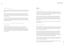#### What can be done now?

We examined whether it makes sense within the framework of the acquisition to separate the target company from the questionable liabilities in order to even enable the acquisition to take place.

This was unfortunately not possible in Brazil as according to the instrument of the Trespasse (similar to the transfer of an undertaking), the acquiring party assumes liability with an asset deal for liabilities in the areas of tax, social security and labour law, backdated by five years plus interest plus penalties.

In such a case a contract designed to reimburse expenses will have practically no effect. The usual procedure to retain part of the purchase price in an escrow account was not possible here as the liabilities and the risks not yet registered from the underlying facts constituted a multiple of the discussed purchase price.

## What should one have done differently from the beginning?

Trust. Observe. Who?

This example brings starkly into contrast the subjects of corruption and tax evasion in the environment of Brazilian family-owned companies. We know from other projects that historically and culturally speaking there is often a different understanding to that pursued by the current compliance standard. This risk can be addressed and qualified through execution of a tax due diligence. Usually – but not always – a practical solution can be found which both sides can agree to.

# **Taxes**

## Background facts:

An internationally successful company in the field of medical engineering at the premium end of the market has been working for many years together with a distributor in the Brazilian state of São Paulo. In order to further push sales in Brazil, an own subsidiary was founded and the co-operation with the previous sales partner maintained.

With the primary objective of achieving the hoped for growth as quickly as possible without excessive costs, the previous sales partner was formally appointed as managing director of the own subsidiary and the imports were processed through his company. In practice that means his import permit (RADAR) and his approval for the products were used with the health authority ANVISA.

Subsequently the sales targets were mainly met, but with a margin which was considerably below expectations.

#### What can be done now?

We examined the previous arrangements and established that the linking of the two companies for the import led to an unnecessary accumulation of trading tax which in turn reduced the margin. Contrary to what one might expect, the accumulation of commercial taxes in Brazil is by no means merely a cash flow theme.

The question of whether for example PIS and COFINS are costs or transitory items depends on the method of the determination of taxable income of the purchasing company. Under some circumstances companies here can choose between Lucro Real and Lucro Presumido, whereby Lucro Real mainly corresponds to a balance sheet determination of income. With Lucro Presumido the basis for the assessment is determined simply on the sum of the outgoing invoices and a defined percentage applied to calculate the presumed profit.

This method naturally makes sense when the actual profit is higher than the presumed profit. The more so as loss carried forward can then not be used. Companies in the start-up phase seldom meet these business requirements.

Nevertheless the Lucro Presumido is relatively popular with Brazilian family-owned companies as the financial accounting obligations are then markedly lower.